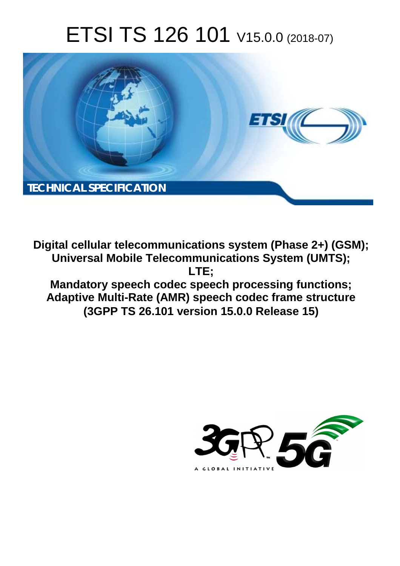# ETSI TS 126 101 V15.0.0 (2018-07)



**Digital cellular telecommunications system (Phase 2+) (GSM); Universal Mobile Telecommunications System (UMTS); LTE; Mandatory speech codec speech processing functions; Adaptive Multi-Rate (AMR) speech codec frame structure** 

**(3GPP TS 26.101 version 15.0.0 Release 15)** 

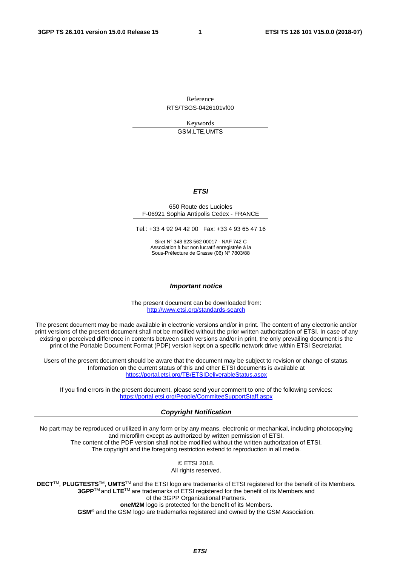Reference

RTS/TSGS-0426101vf00

Keywords GSM,LTE,UMTS

#### *ETSI*

#### 650 Route des Lucioles F-06921 Sophia Antipolis Cedex - FRANCE

Tel.: +33 4 92 94 42 00 Fax: +33 4 93 65 47 16

Siret N° 348 623 562 00017 - NAF 742 C Association à but non lucratif enregistrée à la Sous-Préfecture de Grasse (06) N° 7803/88

#### *Important notice*

The present document can be downloaded from: <http://www.etsi.org/standards-search>

The present document may be made available in electronic versions and/or in print. The content of any electronic and/or print versions of the present document shall not be modified without the prior written authorization of ETSI. In case of any existing or perceived difference in contents between such versions and/or in print, the only prevailing document is the print of the Portable Document Format (PDF) version kept on a specific network drive within ETSI Secretariat.

Users of the present document should be aware that the document may be subject to revision or change of status. Information on the current status of this and other ETSI documents is available at <https://portal.etsi.org/TB/ETSIDeliverableStatus.aspx>

If you find errors in the present document, please send your comment to one of the following services: <https://portal.etsi.org/People/CommiteeSupportStaff.aspx>

#### *Copyright Notification*

No part may be reproduced or utilized in any form or by any means, electronic or mechanical, including photocopying and microfilm except as authorized by written permission of ETSI. The content of the PDF version shall not be modified without the written authorization of ETSI. The copyright and the foregoing restriction extend to reproduction in all media.

> © ETSI 2018. All rights reserved.

**DECT**TM, **PLUGTESTS**TM, **UMTS**TM and the ETSI logo are trademarks of ETSI registered for the benefit of its Members. **3GPP**TM and **LTE**TM are trademarks of ETSI registered for the benefit of its Members and of the 3GPP Organizational Partners. **oneM2M** logo is protected for the benefit of its Members.

**GSM**® and the GSM logo are trademarks registered and owned by the GSM Association.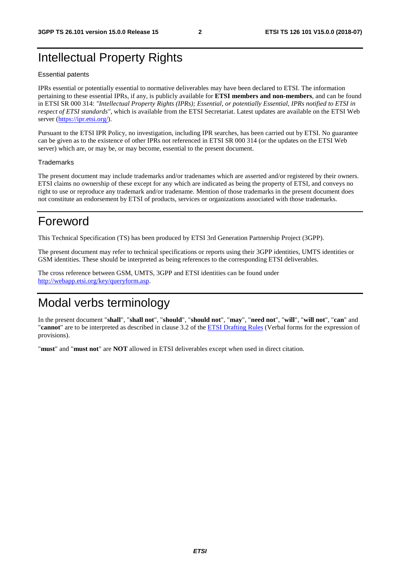# Intellectual Property Rights

#### Essential patents

IPRs essential or potentially essential to normative deliverables may have been declared to ETSI. The information pertaining to these essential IPRs, if any, is publicly available for **ETSI members and non-members**, and can be found in ETSI SR 000 314: *"Intellectual Property Rights (IPRs); Essential, or potentially Essential, IPRs notified to ETSI in respect of ETSI standards"*, which is available from the ETSI Secretariat. Latest updates are available on the ETSI Web server ([https://ipr.etsi.org/\)](https://ipr.etsi.org/).

Pursuant to the ETSI IPR Policy, no investigation, including IPR searches, has been carried out by ETSI. No guarantee can be given as to the existence of other IPRs not referenced in ETSI SR 000 314 (or the updates on the ETSI Web server) which are, or may be, or may become, essential to the present document.

#### **Trademarks**

The present document may include trademarks and/or tradenames which are asserted and/or registered by their owners. ETSI claims no ownership of these except for any which are indicated as being the property of ETSI, and conveys no right to use or reproduce any trademark and/or tradename. Mention of those trademarks in the present document does not constitute an endorsement by ETSI of products, services or organizations associated with those trademarks.

# Foreword

This Technical Specification (TS) has been produced by ETSI 3rd Generation Partnership Project (3GPP).

The present document may refer to technical specifications or reports using their 3GPP identities, UMTS identities or GSM identities. These should be interpreted as being references to the corresponding ETSI deliverables.

The cross reference between GSM, UMTS, 3GPP and ETSI identities can be found under [http://webapp.etsi.org/key/queryform.asp.](http://webapp.etsi.org/key/queryform.asp)

# Modal verbs terminology

In the present document "**shall**", "**shall not**", "**should**", "**should not**", "**may**", "**need not**", "**will**", "**will not**", "**can**" and "**cannot**" are to be interpreted as described in clause 3.2 of the [ETSI Drafting Rules](https://portal.etsi.org/Services/editHelp!/Howtostart/ETSIDraftingRules.aspx) (Verbal forms for the expression of provisions).

"**must**" and "**must not**" are **NOT** allowed in ETSI deliverables except when used in direct citation.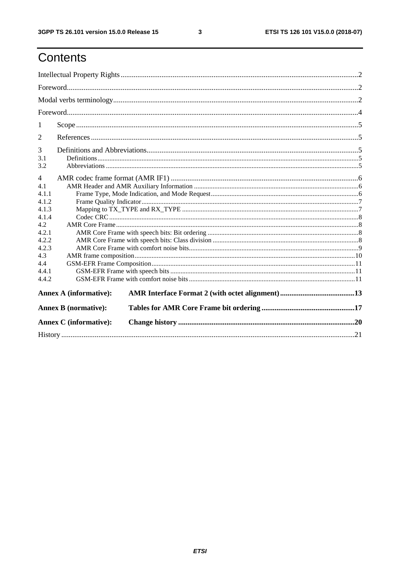$\mathbf{3}$ 

# Contents

| 1                                                                                  |                               |  |  |  |  |  |
|------------------------------------------------------------------------------------|-------------------------------|--|--|--|--|--|
| $\overline{2}$                                                                     |                               |  |  |  |  |  |
| 3<br>3.1<br>3.2                                                                    |                               |  |  |  |  |  |
| $\overline{4}$<br>4.1<br>4.1.1<br>4.1.2<br>4.1.3<br>4.1.4<br>4.2<br>4.2.1<br>4.2.2 |                               |  |  |  |  |  |
| 4.2.3<br>4.3<br>4.4<br>4.4.1<br>4.4.2                                              |                               |  |  |  |  |  |
|                                                                                    | <b>Annex A (informative):</b> |  |  |  |  |  |
|                                                                                    | <b>Annex B</b> (normative):   |  |  |  |  |  |
|                                                                                    | <b>Annex C</b> (informative): |  |  |  |  |  |
|                                                                                    |                               |  |  |  |  |  |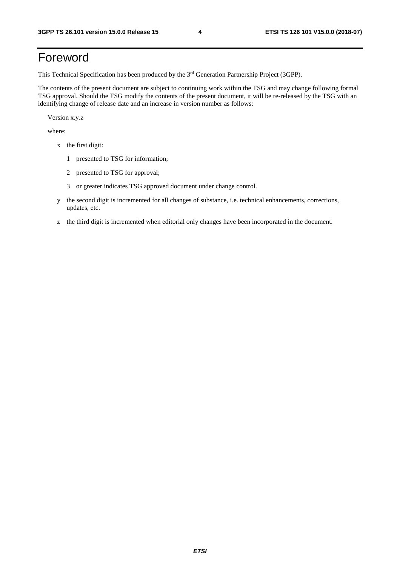# Foreword

This Technical Specification has been produced by the 3rd Generation Partnership Project (3GPP).

The contents of the present document are subject to continuing work within the TSG and may change following formal TSG approval. Should the TSG modify the contents of the present document, it will be re-released by the TSG with an identifying change of release date and an increase in version number as follows:

Version x.y.z

where:

- x the first digit:
	- 1 presented to TSG for information;
	- 2 presented to TSG for approval;
	- 3 or greater indicates TSG approved document under change control.
- y the second digit is incremented for all changes of substance, i.e. technical enhancements, corrections, updates, etc.
- z the third digit is incremented when editorial only changes have been incorporated in the document.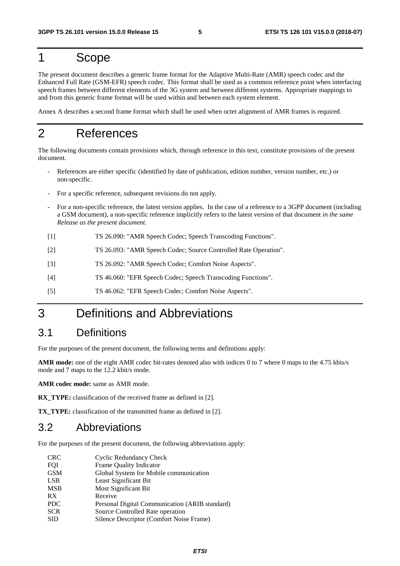# 1 Scope

The present document describes a generic frame format for the Adaptive Multi-Rate (AMR) speech codec and the Enhanced Full Rate (GSM-EFR) speech codec. This format shall be used as a common reference point when interfacing speech frames between different elements of the 3G system and between different systems. Appropriate mappings to and from this generic frame format will be used within and between each system element.

Annex A describes a second frame format which shall be used when octet alignment of AMR frames is required.

# 2 References

The following documents contain provisions which, through reference in this text, constitute provisions of the present document.

- References are either specific (identified by date of publication, edition number, version number, etc.) or non-specific.
- For a specific reference, subsequent revisions do not apply.
- For a non-specific reference, the latest version applies. In the case of a reference to a 3GPP document (including a GSM document), a non-specific reference implicitly refers to the latest version of that document *in the same Release as the present document*.
- [1] TS 26.090: "AMR Speech Codec; Speech Transcoding Functions".
- [2] TS 26.093: "AMR Speech Codec; Source Controlled Rate Operation".
- [3] TS 26.092: "AMR Speech Codec; Comfort Noise Aspects".
- [4] TS 46.060: "EFR Speech Codec; Speech Transcoding Functions".
- [5] TS 46.062: "EFR Speech Codec; Comfort Noise Aspects".

# 3 Definitions and Abbreviations

# 3.1 Definitions

For the purposes of the present document, the following terms and definitions apply:

**AMR mode:** one of the eight AMR codec bit-rates denoted also with indices 0 to 7 where 0 maps to the 4.75 kbis/s mode and 7 maps to the 12.2 kbit/s mode.

**AMR codec mode:** same as AMR mode.

**RX** TYPE: classification of the received frame as defined in [2].

**TX\_TYPE:** classification of the transmitted frame as defined in [2].

### 3.2 Abbreviations

For the purposes of the present document, the following abbreviations apply:

| <b>CRC</b> | Cyclic Redundancy Check                        |
|------------|------------------------------------------------|
| FQI        | Frame Quality Indicator                        |
| <b>GSM</b> | Global System for Mobile communication         |
| <b>LSB</b> | Least Significant Bit                          |
| <b>MSB</b> | <b>Most Significant Bit</b>                    |
| RX         | Receive                                        |
| <b>PDC</b> | Personal Digital Communication (ARIB standard) |
| <b>SCR</b> | Source Controlled Rate operation               |
| <b>SID</b> | Silence Descriptor (Comfort Noise Frame)       |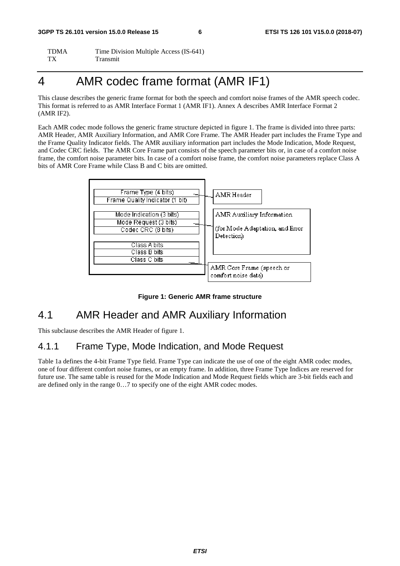TDMA Time Division Multiple Access (IS-641) TX Transmit

# 4 AMR codec frame format (AMR IF1)

This clause describes the generic frame format for both the speech and comfort noise frames of the AMR speech codec. This format is referred to as AMR Interface Format 1 (AMR IF1). Annex A describes AMR Interface Format 2 (AMR IF2).

Each AMR codec mode follows the generic frame structure depicted in figure 1. The frame is divided into three parts: AMR Header, AMR Auxiliary Information, and AMR Core Frame. The AMR Header part includes the Frame Type and the Frame Quality Indicator fields. The AMR auxiliary information part includes the Mode Indication, Mode Request, and Codec CRC fields. The AMR Core Frame part consists of the speech parameter bits or, in case of a comfort noise frame, the comfort noise parameter bits. In case of a comfort noise frame, the comfort noise parameters replace Class A bits of AMR Core Frame while Class B and C bits are omitted.



#### **Figure 1: Generic AMR frame structure**

## 4.1 AMR Header and AMR Auxiliary Information

This subclause describes the AMR Header of figure 1.

### 4.1.1 Frame Type, Mode Indication, and Mode Request

Table 1a defines the 4-bit Frame Type field. Frame Type can indicate the use of one of the eight AMR codec modes, one of four different comfort noise frames, or an empty frame. In addition, three Frame Type Indices are reserved for future use. The same table is reused for the Mode Indication and Mode Request fields which are 3-bit fields each and are defined only in the range 0…7 to specify one of the eight AMR codec modes.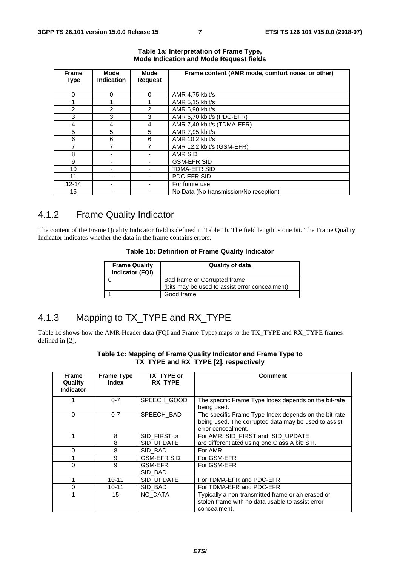| <b>Frame</b><br><b>Type</b> | Mode<br><b>Indication</b> | <b>Mode</b><br><b>Request</b> | Frame content (AMR mode, comfort noise, or other) |
|-----------------------------|---------------------------|-------------------------------|---------------------------------------------------|
|                             |                           |                               |                                                   |
| 0                           | 0                         | 0                             | AMR 4,75 kbit/s                                   |
|                             |                           |                               | AMR 5,15 kbit/s                                   |
| 2                           | 2                         | $\mathfrak{p}$                | AMR 5.90 kbit/s                                   |
| 3                           | 3                         | 3                             | AMR 6,70 kbit/s (PDC-EFR)                         |
| 4                           | 4                         | 4                             | AMR 7,40 kbit/s (TDMA-EFR)                        |
| 5                           | 5                         | 5                             | AMR 7.95 kbit/s                                   |
| 6                           | 6                         | 6                             | AMR 10,2 kbit/s                                   |
|                             | 7                         |                               | AMR 12,2 kbit/s (GSM-EFR)                         |
| 8                           |                           |                               | AMR SID                                           |
| 9                           |                           |                               | <b>GSM-EFR SID</b>                                |
| 10                          |                           |                               | <b>TDMA-EFR SID</b>                               |
| 11                          |                           |                               | PDC-EFR SID                                       |
| $12 - 14$                   |                           |                               | For future use                                    |
| 15                          |                           |                               | No Data (No transmission/No reception)            |

#### **Table 1a: Interpretation of Frame Type, Mode Indication and Mode Request fields**

# 4.1.2 Frame Quality Indicator

The content of the Frame Quality Indicator field is defined in Table 1b. The field length is one bit. The Frame Quality Indicator indicates whether the data in the frame contains errors.

#### **Table 1b: Definition of Frame Quality Indicator**

| <b>Frame Quality</b><br>Indicator (FQI) | <b>Quality of data</b>                         |
|-----------------------------------------|------------------------------------------------|
|                                         | Bad frame or Corrupted frame                   |
|                                         | (bits may be used to assist error concealment) |
|                                         | Good frame                                     |

# 4.1.3 Mapping to TX\_TYPE and RX\_TYPE

Table 1c shows how the AMR Header data (FQI and Frame Type) maps to the TX\_TYPE and RX\_TYPE frames defined in [2].

| <b>Frame</b><br>Quality<br><b>Indicator</b> | <b>Frame Type</b><br>Index | TX TYPE or<br><b>RX TYPE</b> | <b>Comment</b>                                                                                                                      |
|---------------------------------------------|----------------------------|------------------------------|-------------------------------------------------------------------------------------------------------------------------------------|
|                                             | $0 - 7$                    | SPEECH GOOD                  | The specific Frame Type Index depends on the bit-rate<br>being used.                                                                |
| $\Omega$                                    | $0 - 7$                    | SPEECH BAD                   | The specific Frame Type Index depends on the bit-rate<br>being used. The corrupted data may be used to assist<br>error concealment. |
| 1                                           | 8<br>8                     | SID FIRST or<br>SID UPDATE   | For AMR: SID FIRST and SID UPDATE<br>are differentiated using one Class A bit: STI.                                                 |
| 0                                           | 8                          | SID BAD                      | For AMR                                                                                                                             |
|                                             | 9                          | <b>GSM-EFR SID</b>           | For GSM-EFR                                                                                                                         |
| 0                                           | 9                          | <b>GSM-EFR</b><br>SID BAD    | For GSM-EFR                                                                                                                         |
|                                             | $10 - 11$                  | SID UPDATE                   | For TDMA-EFR and PDC-EFR                                                                                                            |
| 0                                           | $10 - 11$                  | SID BAD                      | For TDMA-EFR and PDC-EFR                                                                                                            |
|                                             | 15                         | NO DATA                      | Typically a non-transmitted frame or an erased or<br>stolen frame with no data usable to assist error<br>concealment.               |

#### **Table 1c: Mapping of Frame Quality Indicator and Frame Type to TX\_TYPE and RX\_TYPE [2], respectively**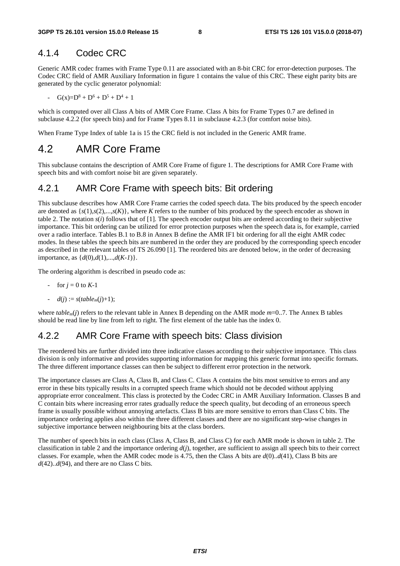#### 4.1.4 Codec CRC

Generic AMR codec frames with Frame Type 0.11 are associated with an 8-bit CRC for error-detection purposes. The Codec CRC field of AMR Auxiliary Information in figure 1 contains the value of this CRC. These eight parity bits are generated by the cyclic generator polynomial:

-  $G(x)=D^8+D^6+D^5+D^4+1$ 

which is computed over all Class A bits of AMR Core Frame. Class A bits for Frame Types 0.7 are defined in subclause 4.2.2 (for speech bits) and for Frame Types 8.11 in subclause 4.2.3 (for comfort noise bits).

When Frame Type Index of table 1a is 15 the CRC field is not included in the Generic AMR frame.

### 4.2 AMR Core Frame

This subclause contains the description of AMR Core Frame of figure 1. The descriptions for AMR Core Frame with speech bits and with comfort noise bit are given separately.

### 4.2.1 AMR Core Frame with speech bits: Bit ordering

This subclause describes how AMR Core Frame carries the coded speech data. The bits produced by the speech encoder are denoted as  $\{s(1), s(2), \ldots, s(K)\}\)$ , where *K* refers to the number of bits produced by the speech encoder as shown in table 2. The notation *s*(*i*) follows that of [1]. The speech encoder output bits are ordered according to their subjective importance. This bit ordering can be utilized for error protection purposes when the speech data is, for example, carried over a radio interface. Tables B.1 to B.8 in Annex B define the AMR IF1 bit ordering for all the eight AMR codec modes. In these tables the speech bits are numbered in the order they are produced by the corresponding speech encoder as described in the relevant tables of TS 26.090 [1]. The reordered bits are denoted below, in the order of decreasing importance, as {*d*(0),*d*(1),...,*d*(*K-1*)}.

The ordering algorithm is described in pseudo code as:

- for  $j = 0$  to  $K-1$
- $d(j) := s(table_m(j) + 1);$

where *table<sub>m</sub>*(*j*) refers to the relevant table in Annex B depending on the AMR mode *m*=0..7. The Annex B tables should be read line by line from left to right. The first element of the table has the index 0.

### 4.2.2 AMR Core Frame with speech bits: Class division

The reordered bits are further divided into three indicative classes according to their subjective importance. This class division is only informative and provides supporting information for mapping this generic format into specific formats. The three different importance classes can then be subject to different error protection in the network.

The importance classes are Class A, Class B, and Class C. Class A contains the bits most sensitive to errors and any error in these bits typically results in a corrupted speech frame which should not be decoded without applying appropriate error concealment. This class is protected by the Codec CRC in AMR Auxiliary Information. Classes B and C contain bits where increasing error rates gradually reduce the speech quality, but decoding of an erroneous speech frame is usually possible without annoying artefacts. Class B bits are more sensitive to errors than Class C bits. The importance ordering applies also within the three different classes and there are no significant step-wise changes in subjective importance between neighbouring bits at the class borders.

The number of speech bits in each class (Class A, Class B, and Class C) for each AMR mode is shown in table 2. The classification in table 2 and the importance ordering *d*(*j*), together, are sufficient to assign all speech bits to their correct classes. For example, when the AMR codec mode is 4.75, then the Class A bits are *d*(0)..*d*(41), Class B bits are  $d(42)$ .. $d(94)$ , and there are no Class C bits.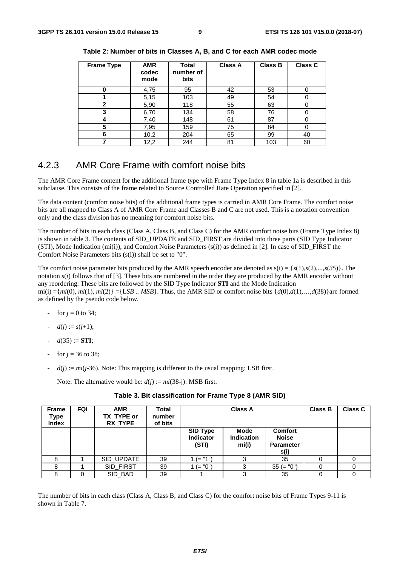| <b>Frame Type</b> | <b>AMR</b><br>codec<br>mode | <b>Total</b><br>number of<br>bits | <b>Class A</b> | <b>Class B</b> | <b>Class C</b> |
|-------------------|-----------------------------|-----------------------------------|----------------|----------------|----------------|
| 0                 | 4,75                        | 95                                | 42             | 53             |                |
|                   | 5,15                        | 103                               | 49             | 54             |                |
| $\mathbf{2}$      | 5,90                        | 118                               | 55             | 63             |                |
| 3                 | 6,70                        | 134                               | 58             | 76             |                |
|                   | 7,40                        | 148                               | 61             | 87             |                |
| 5                 | 7,95                        | 159                               | 75             | 84             |                |
| 6                 | 10,2                        | 204                               | 65             | 99             | 40             |
|                   | 12,2                        | 244                               | 81             | 103            | 60             |

**Table 2: Number of bits in Classes A, B, and C for each AMR codec mode** 

### 4.2.3 AMR Core Frame with comfort noise bits

The AMR Core Frame content for the additional frame type with Frame Type Index 8 in table 1a is described in this subclause. This consists of the frame related to Source Controlled Rate Operation specified in [2].

The data content (comfort noise bits) of the additional frame types is carried in AMR Core Frame. The comfort noise bits are all mapped to Class A of AMR Core Frame and Classes B and C are not used. This is a notation convention only and the class division has no meaning for comfort noise bits.

The number of bits in each class (Class A, Class B, and Class C) for the AMR comfort noise bits (Frame Type Index 8) is shown in table 3. The contents of SID\_UPDATE and SID\_FIRST are divided into three parts (SID Type Indicator (STI), Mode Indication (mi(i)), and Comfort Noise Parameters (s(i)) as defined in [2]. In case of SID\_FIRST the Comfort Noise Parameters bits (s(i)) shall be set to "0".

The comfort noise parameter bits produced by the AMR speech encoder are denoted as  $s(i) = \{s(1), s(2),...,s(35)\}\$ . The notation *s*(*i*) follows that of [3]. These bits are numbered in the order they are produced by the AMR encoder without any reordering. These bits are followed by the SID Type Indicator **STI** and the Mode Indication mi(i)  $=\{mi(0), mi(1), mi(2)\} = \{LSB \dots MSB\}$ . Thus, the AMR SID or comfort noise bits  $\{d(0),d(1),...,d(38)\}$ are formed as defined by the pseudo code below.

- for  $j = 0$  to 34;
- $d(j) := s(j+1);$
- $d(35) := STI;$
- for  $j = 36$  to 38;
- $d(j) := mi(j-36)$ . Note: This mapping is different to the usual mapping: LSB first.

Note: The alternative would be:  $d(j) := mi(38-j)$ : MSB first.

| <b>Frame</b><br>Type<br><b>Index</b> | <b>FQI</b> | <b>AMR</b><br>TX_TYPE or<br><b>RX TYPE</b> | Total<br>number<br>of bits | <b>Class A</b>                        |                                    |                                                            | <b>Class B</b> | <b>Class C</b> |
|--------------------------------------|------------|--------------------------------------------|----------------------------|---------------------------------------|------------------------------------|------------------------------------------------------------|----------------|----------------|
|                                      |            |                                            |                            | SID Type<br><b>Indicator</b><br>(STI) | Mode<br><b>Indication</b><br>mi(i) | <b>Comfort</b><br><b>Noise</b><br><b>Parameter</b><br>s(i) |                |                |
|                                      |            | SID_UPDATE                                 | 39                         | $(= "1")$                             | 3                                  | 35                                                         |                |                |
|                                      |            | SID_FIRST                                  | 39                         | $(= "0")$                             | 3                                  | $35 (= "0")$                                               |                |                |
| 8                                    |            | SID BAD                                    | 39                         |                                       | 3                                  | 35                                                         |                |                |

**Table 3. Bit classification for Frame Type 8 (AMR SID)** 

The number of bits in each class (Class A, Class B, and Class C) for the comfort noise bits of Frame Types 9-11 is shown in Table 7.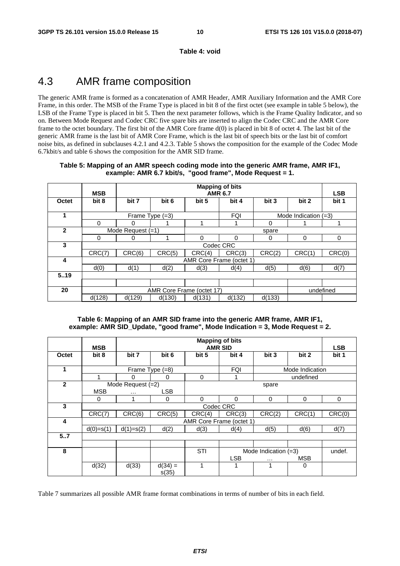**Table 4: void** 

# 4.3 AMR frame composition

The generic AMR frame is formed as a concatenation of AMR Header, AMR Auxiliary Information and the AMR Core Frame, in this order. The MSB of the Frame Type is placed in bit 8 of the first octet (see example in table 5 below), the LSB of the Frame Type is placed in bit 5. Then the next parameter follows, which is the Frame Quality Indicator, and so on. Between Mode Request and Codec CRC five spare bits are inserted to align the Codec CRC and the AMR Core frame to the octet boundary. The first bit of the AMR Core frame d(0) is placed in bit 8 of octet 4. The last bit of the generic AMR frame is the last bit of AMR Core Frame, which is the last bit of speech bits or the last bit of comfort noise bits, as defined in subclauses 4.2.1 and 4.2.3. Table 5 shows the composition for the example of the Codec Mode 6.7kbit/s and table 6 shows the composition for the AMR SID frame.

| Table 5: Mapping of an AMR speech coding mode into the generic AMR frame, AMR IF1, |  |
|------------------------------------------------------------------------------------|--|
| example: AMR 6.7 kbit/s, "good frame", Mode Request = 1.                           |  |
|                                                                                    |  |

|              | <b>MSB</b> | <b>Mapping of bits</b><br><b>AMR 6.7</b> |                 |                           |            |        |                        |                     |  |
|--------------|------------|------------------------------------------|-----------------|---------------------------|------------|--------|------------------------|---------------------|--|
| Octet        | bit 8      | bit 7                                    | bit 6           | bit 5                     | bit 4      | bit 3  | bit 2                  | <b>LSB</b><br>bit 1 |  |
|              |            |                                          |                 |                           |            |        |                        |                     |  |
| 1            |            |                                          | Frame Type (=3) |                           | <b>FQI</b> |        | Mode Indication $(=3)$ |                     |  |
|              | 0          |                                          |                 |                           |            | 0      |                        |                     |  |
| $\mathbf{2}$ |            | Mode Request $(=1)$                      |                 |                           |            | spare  |                        |                     |  |
|              | 0          |                                          |                 | 0                         | 0          | 0      | 0                      | 0                   |  |
| 3            |            |                                          |                 |                           | Codec CRC  |        |                        |                     |  |
|              | CRC(7)     | CRC(6)                                   | CRC(5)          | CRC(4)                    | CRC(3)     | CRC(2) | CRC(1)                 | CRC(0)              |  |
| 4            |            |                                          |                 | AMR Core Frame (octet 1)  |            |        |                        |                     |  |
|              | d(0)       | d(1)                                     | d(2)            | d(3)                      | d(4)       | d(5)   | d(6)                   | d(7)                |  |
| 5.19         |            |                                          |                 |                           |            |        |                        |                     |  |
|              |            |                                          |                 |                           |            |        |                        |                     |  |
| 20           |            |                                          |                 | AMR Core Frame (octet 17) |            |        |                        | undefined           |  |
|              | d(128)     | d(129)                                   | d(130)          | d(131)                    | d(132)     | d(133) |                        |                     |  |

#### **Table 6: Mapping of an AMR SID frame into the generic AMR frame, AMR IF1, example: AMR SID\_Update, "good frame", Mode Indication = 3, Mode Request = 2.**

|              | <b>MSB</b>  |                   |                    | <b>LSB</b> |                          |          |                 |        |
|--------------|-------------|-------------------|--------------------|------------|--------------------------|----------|-----------------|--------|
| Octet        | bit 8       | bit 7             | bit 6              | bit 5      | bit 4                    | bit 3    | bit 2           | bit 1  |
|              |             |                   | Frame Type (=8)    |            | <b>FQI</b>               |          | Mode Indication |        |
|              |             | 0                 | 0                  | 0          |                          |          | undefined       |        |
| $\mathbf{2}$ |             | Mode Request (=2) |                    |            |                          | spare    |                 |        |
|              | <b>MSB</b>  | $\cdots$          | <b>LSB</b>         |            |                          |          |                 |        |
|              | 0           |                   | 0                  | $\Omega$   | $\Omega$                 | 0        | 0               | 0      |
| 3            |             |                   |                    |            | Codec CRC                |          |                 |        |
|              | CRC(7)      | CRC(6)            | CRC(5)             | CRC(4)     | CRC(3)                   | CRC(2)   | CRC(1)          | CRC(0) |
| 4            |             |                   |                    |            | AMR Core Frame (octet 1) |          |                 |        |
|              | $d(0)=s(1)$ | $d(1)=s(2)$       | d(2)               | d(3)       | d(4)                     | d(5)     | d(6)            | d(7)   |
| 57           |             |                   |                    |            |                          |          |                 |        |
|              |             |                   |                    |            |                          |          |                 |        |
| 8            |             |                   |                    | <b>STI</b> | Mode Indication $(=3)$   | undef.   |                 |        |
|              |             |                   |                    |            | <b>LSB</b>               | $\cdots$ | <b>MSB</b>      |        |
|              | d(32)       | d(33)             | $d(34) =$<br>s(35) |            |                          | 1        | 0               |        |

Table 7 summarizes all possible AMR frame format combinations in terms of number of bits in each field.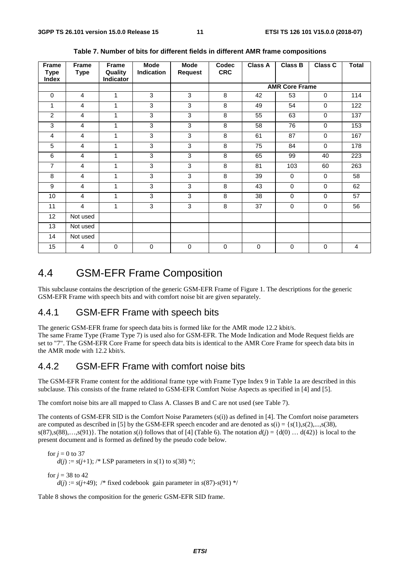| Frame<br><b>Type</b><br>Index | Frame<br><b>Type</b> | Frame<br>Quality<br>Indicator | <b>Mode</b><br>Indication | <b>Mode</b><br><b>Request</b> | <b>Codec</b><br><b>CRC</b> | <b>Class A</b> | Class B               | <b>Class C</b> | <b>Total</b>   |
|-------------------------------|----------------------|-------------------------------|---------------------------|-------------------------------|----------------------------|----------------|-----------------------|----------------|----------------|
|                               |                      |                               |                           |                               |                            |                | <b>AMR Core Frame</b> |                |                |
| $\mathbf 0$                   | $\overline{4}$       | $\mathbf{1}$                  | 3                         | 3                             | 8                          | 42             | 53                    | $\mathbf 0$    | 114            |
| 1                             | 4                    | $\mathbf{1}$                  | 3                         | 3                             | 8                          | 49             | 54                    | $\mathbf 0$    | 122            |
| $\overline{c}$                | 4                    | 1                             | 3                         | 3                             | 8                          | 55             | 63                    | $\mathbf 0$    | 137            |
| 3                             | 4                    | 1                             | 3                         | 3                             | 8                          | 58             | 76                    | $\mathbf 0$    | 153            |
| 4                             | 4                    | 1                             | 3                         | 3                             | 8                          | 61             | 87                    | $\mathbf 0$    | 167            |
| 5                             | 4                    | 1                             | 3                         | 3                             | 8                          | 75             | 84                    | $\mathbf 0$    | 178            |
| 6                             | 4                    | 1                             | 3                         | 3                             | 8                          | 65             | 99                    | 40             | 223            |
| $\overline{7}$                | 4                    | 1                             | 3                         | 3                             | 8                          | 81             | 103                   | 60             | 263            |
| 8                             | 4                    | 1                             | 3                         | $\overline{3}$                | 8                          | 39             | $\Omega$              | $\Omega$       | 58             |
| 9                             | 4                    | $\mathbf{1}$                  | $\overline{3}$            | $\overline{3}$                | $\overline{8}$             | 43             | $\mathbf 0$           | $\mathbf 0$    | 62             |
| 10                            | 4                    | 1                             | 3                         | 3                             | 8                          | 38             | $\mathbf 0$           | $\mathbf 0$    | 57             |
| 11                            | 4                    | 1                             | 3                         | 3                             | 8                          | 37             | $\mathbf 0$           | $\mathbf 0$    | 56             |
| 12                            | Not used             |                               |                           |                               |                            |                |                       |                |                |
| 13                            | Not used             |                               |                           |                               |                            |                |                       |                |                |
| 14                            | Not used             |                               |                           |                               |                            |                |                       |                |                |
| 15                            | 4                    | $\mathbf 0$                   | $\mathbf 0$               | $\mathbf 0$                   | $\mathbf 0$                | $\mathbf 0$    | $\mathbf 0$           | $\mathbf 0$    | $\overline{4}$ |

**Table 7. Number of bits for different fields in different AMR frame compositions** 

### 4.4 GSM-EFR Frame Composition

This subclause contains the description of the generic GSM-EFR Frame of Figure 1. The descriptions for the generic GSM-EFR Frame with speech bits and with comfort noise bit are given separately.

### 4.4.1 GSM-EFR Frame with speech bits

The generic GSM-EFR frame for speech data bits is formed like for the AMR mode 12.2 kbit/s.

The same Frame Type (Frame Type 7) is used also for GSM-EFR. The Mode Indication and Mode Request fields are set to "7". The GSM-EFR Core Frame for speech data bits is identical to the AMR Core Frame for speech data bits in the AMR mode with 12.2 kbit/s.

### 4.4.2 GSM-EFR Frame with comfort noise bits

The GSM-EFR Frame content for the additional frame type with Frame Type Index 9 in Table 1a are described in this subclause. This consists of the frame related to GSM-EFR Comfort Noise Aspects as specified in [4] and [5].

The comfort noise bits are all mapped to Class A. Classes B and C are not used (see Table 7).

The contents of GSM-EFR SID is the Comfort Noise Parameters (s(i)) as defined in [4]. The Comfort noise parameters are computed as described in [5] by the GSM-EFR speech encoder and are denoted as  $s(i) = \{s(1), s(2), \ldots, s(38),$ s(87),s(88),...,s(91)}. The notation *s*(*i*) follows that of [4] (Table 6). The notation  $d(i) = \{d(0) \dots d(42)\}\$ is local to the present document and is formed as defined by the pseudo code below.

for  $j = 0$  to 37  $d(j) := s(j+1);$  /\* LSP parameters in  $s(1)$  to  $s(38)$  \*/; for  $i = 38$  to 42

 $d(j) := s(j+49)$ ; /\* fixed codebook gain parameter in  $s(87)$ - $s(91)$  \*/

Table 8 shows the composition for the generic GSM-EFR SID frame.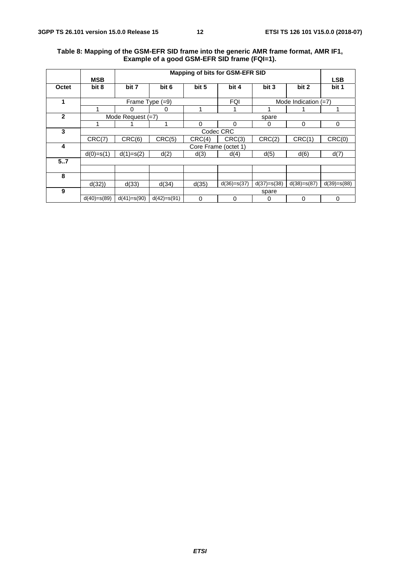#### **Table 8: Mapping of the GSM-EFR SID frame into the generic AMR frame format, AMR IF1, Example of a good GSM-EFR SID frame (FQI=1).**

|             |               | Mapping of bits for GSM-EFR SID |                 |                      |               |               |                        |               |
|-------------|---------------|---------------------------------|-----------------|----------------------|---------------|---------------|------------------------|---------------|
|             | <b>MSB</b>    |                                 |                 |                      |               |               |                        | <b>LSB</b>    |
| Octet       | bit 8         | bit 7                           | bit 6           | bit 5                | bit 4         | bit 3         | bit 2                  | bit 1         |
|             |               |                                 |                 |                      |               |               |                        |               |
| 1           |               |                                 | Frame Type (=9) |                      | <b>FQI</b>    |               | Mode Indication $(=7)$ |               |
|             | 1             | 0                               | 0               |                      |               |               |                        |               |
| $\mathbf 2$ |               | Mode Request $(=7)$             |                 |                      |               | spare         |                        |               |
|             | 1             |                                 |                 | 0                    | $\Omega$      | 0             | 0                      | 0             |
| 3           |               |                                 |                 |                      | Codec CRC     |               |                        |               |
|             | CRC(7)        | CRC(6)                          | CRC(5)          | CRC(4)               | CRC(3)        | CRC(2)        | CRC(1)                 | CRC(0)        |
| 4           |               |                                 |                 | Core Frame (octet 1) |               |               |                        |               |
|             | $d(0)=s(1)$   | $d(1)=s(2)$                     | d(2)            | d(3)                 | d(4)          | d(5)          | d(6)                   | d(7)          |
| 5.7         |               |                                 |                 |                      |               |               |                        |               |
|             |               |                                 |                 |                      |               |               |                        |               |
| 8           |               |                                 |                 |                      |               |               |                        |               |
|             | d(32)         | d(33)                           | d(34)           | d(35)                | $d(36)=s(37)$ | $d(37)=s(38)$ | $d(38)=s(87)$          | $d(39)=s(88)$ |
| 9           |               |                                 |                 |                      |               | spare         |                        |               |
|             | $d(40)=s(89)$ | $d(41)=s(90)$                   | $d(42)=s(91)$   | 0                    | 0             | 0             | 0                      | 0             |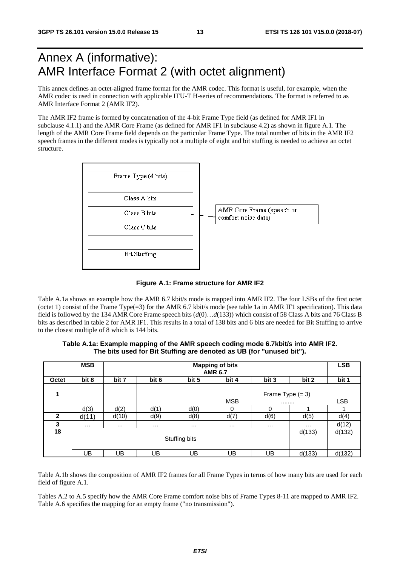# Annex A (informative): AMR Interface Format 2 (with octet alignment)

This annex defines an octet-aligned frame format for the AMR codec. This format is useful, for example, when the AMR codec is used in connection with applicable ITU-T H-series of recommendations. The format is referred to as AMR Interface Format 2 (AMR IF2).

The AMR IF2 frame is formed by concatenation of the 4-bit Frame Type field (as defined for AMR IF1 in subclause 4.1.1) and the AMR Core Frame (as defined for AMR IF1 in subclause 4.2) as shown in figure A.1. The length of the AMR Core Frame field depends on the particular Frame Type. The total number of bits in the AMR IF2 speech frames in the different modes is typically not a multiple of eight and bit stuffing is needed to achieve an octet structure.



**Figure A.1: Frame structure for AMR IF2** 

Table A.1a shows an example how the AMR 6.7 kbit/s mode is mapped into AMR IF2. The four LSBs of the first octet (octet 1) consist of the Frame Type(=3) for the AMR 6.7 kbit/s mode (see table 1a in AMR IF1 specification). This data field is followed by the 134 AMR Core Frame speech bits (*d*(0)…*d*(133)) which consist of 58 Class A bits and 76 Class B bits as described in table 2 for AMR IF1. This results in a total of 138 bits and 6 bits are needed for Bit Stuffing to arrive to the closest multiple of 8 which is 144 bits.

#### **Table A.1a: Example mapping of the AMR speech coding mode 6.7kbit/s into AMR IF2. The bits used for Bit Stuffing are denoted as UB (for "unused bit").**

|              | <b>MSB</b> | <b>Mapping of bits</b><br><b>AMR 6.7</b> |                                           |          |            |                    |          |            |  |  |
|--------------|------------|------------------------------------------|-------------------------------------------|----------|------------|--------------------|----------|------------|--|--|
| Octet        | bit 8      | bit 7                                    | bit 2<br>bit 6<br>bit 5<br>bit 4<br>bit 3 |          |            |                    |          |            |  |  |
| 1            |            |                                          |                                           |          |            | Frame Type $(= 3)$ |          |            |  |  |
|              |            |                                          |                                           |          | <b>MSB</b> |                    |          | <b>LSB</b> |  |  |
|              | d(3)       | d(2)                                     | d(1)                                      | d(0)     | 0          |                    |          |            |  |  |
| $\mathbf{2}$ | d(11)      | d(10)                                    | d(9)                                      | d(8)     | d(7)       | d(6)               | d(5)     | d(4)       |  |  |
| 3            | $\cdots$   | $\cdots$                                 | $\cdots$                                  | $\cdots$ | $\cdots$   | $\cdots$           | $\cdots$ | d(12)      |  |  |
| 18           |            |                                          |                                           |          |            |                    | d(133)   | d(132)     |  |  |
|              |            | Stuffing bits                            |                                           |          |            |                    |          |            |  |  |
|              | UB         | UB                                       | UB                                        | UB       | UB         | UB                 | d(133)   | d(132)     |  |  |

Table A.1b shows the composition of AMR IF2 frames for all Frame Types in terms of how many bits are used for each field of figure A.1.

Tables A.2 to A.5 specify how the AMR Core Frame comfort noise bits of Frame Types 8-11 are mapped to AMR IF2. Table A.6 specifies the mapping for an empty frame ("no transmission").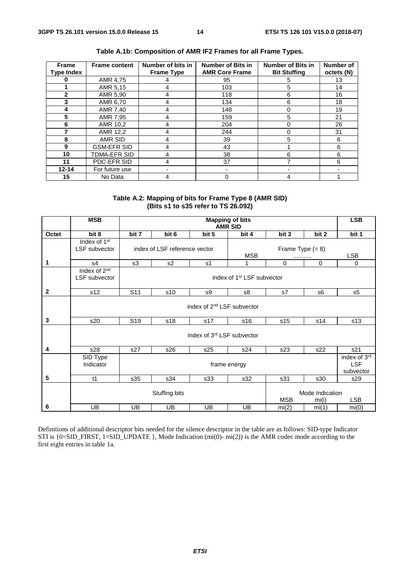| <b>Frame</b><br><b>Type Index</b> | <b>Frame content</b> | Number of bits in<br><b>Frame Type</b> | Number of Bits in<br><b>AMR Core Frame</b> | <b>Number of Bits in</b><br><b>Bit Stuffing</b> | <b>Number of</b><br>octets (N) |
|-----------------------------------|----------------------|----------------------------------------|--------------------------------------------|-------------------------------------------------|--------------------------------|
|                                   |                      |                                        |                                            |                                                 |                                |
|                                   | AMR 4,75             |                                        | 95                                         | 5                                               | 13                             |
|                                   | AMR 5,15             |                                        | 103                                        | 5                                               | 14                             |
| $\mathbf{2}$                      | AMR 5,90             |                                        | 118                                        | 6                                               | 16                             |
| 3                                 | AMR 6,70             |                                        | 134                                        | 6                                               | 18                             |
| 4                                 | AMR 7,40             | 4                                      | 148                                        | 0                                               | 19                             |
| 5                                 | AMR 7,95             |                                        | 159                                        | 5                                               | 21                             |
| 6                                 | AMR 10,2             |                                        | 204                                        | 0                                               | 26                             |
|                                   | AMR 12,2             |                                        | 244                                        | 0                                               | 31                             |
| 8                                 | AMR SID              |                                        | 39                                         | 5                                               | 6                              |
| 9                                 | <b>GSM-EFR SID</b>   |                                        | 43                                         |                                                 | 6                              |
| 10                                | TDMA-EFR SID         |                                        | 38                                         | 6                                               | 6                              |
| 11                                | PDC-EFR SID          |                                        | 37                                         |                                                 | 6                              |
| $12 - 14$                         | For future use       |                                        |                                            |                                                 |                                |
| 15                                | No Data              | 4                                      | 0                                          | 4                                               |                                |

**Table A.1b: Composition of AMR IF2 Frames for all Frame Types.** 

**Table A.2: Mapping of bits for Frame Type 8 (AMR SID) (Bits s1 to s35 refer to TS 26.092)** 

|              | <b>MSB</b>                                              |                                        |                               |                            | <b>Mapping of bits</b><br><b>AMR SID</b> |                        |             | <b>LSB</b>                              |  |  |
|--------------|---------------------------------------------------------|----------------------------------------|-------------------------------|----------------------------|------------------------------------------|------------------------|-------------|-----------------------------------------|--|--|
| Octet        | bit 8                                                   | bit 7                                  | bit 6                         | bit 5                      | bit 4                                    | bit 3                  | bit 2       | bit 1                                   |  |  |
|              | Index of $1st$<br>LSF subvector                         |                                        | index of LSF reference vector |                            | <b>MSB</b>                               | Frame Type $(= 8)$<br> |             | <b>LSB</b>                              |  |  |
| 1            | s4                                                      | s3                                     | s2                            | s1                         | 1                                        | 0                      | $\mathbf 0$ | 0                                       |  |  |
|              | Index of 2 <sup>nd</sup><br>LSF subvector               |                                        |                               |                            |                                          |                        |             |                                         |  |  |
| $\mathbf{2}$ | s12                                                     | S <sub>11</sub>                        | s10                           | s9                         | s8                                       | s7                     | s6          | s5                                      |  |  |
|              |                                                         | index of 2 <sup>nd</sup> LSF subvector |                               |                            |                                          |                        |             |                                         |  |  |
| 3            | s20                                                     | S <sub>19</sub>                        | s18                           | s17                        | s16                                      | s15                    | s14         | s13                                     |  |  |
|              |                                                         |                                        |                               | index of 3rd LSF subvector |                                          |                        |             |                                         |  |  |
| 4            | s28                                                     | s27                                    | s26                           | s25                        | s24                                      | s23                    | s22         | s21                                     |  |  |
|              | SID Type<br>Indicator                                   |                                        |                               |                            | frame energy                             |                        |             | index of 3rd<br><b>LSF</b><br>subvector |  |  |
| 5            | t1                                                      | s35                                    | s34                           | s33                        | s32                                      | s31                    | s30         | s29                                     |  |  |
|              | Mode Indication<br>Stuffing bits<br><b>MSB</b><br>mi(i) |                                        |                               |                            |                                          |                        |             |                                         |  |  |
| 6            | <b>UB</b>                                               | <b>UB</b>                              | <b>UB</b>                     | UB                         | UB                                       | mi(2)                  | mi(1)       | mi(0)                                   |  |  |

Definitions of additional descriptor bits needed for the silence descriptor in the table are as follows: SID-type Indicator STI is {0=SID\_FIRST, 1=SID\_UPDATE }, Mode Indication (mi(0)- mi(2)) is the AMR codec mode according to the first eight entries in table 1a.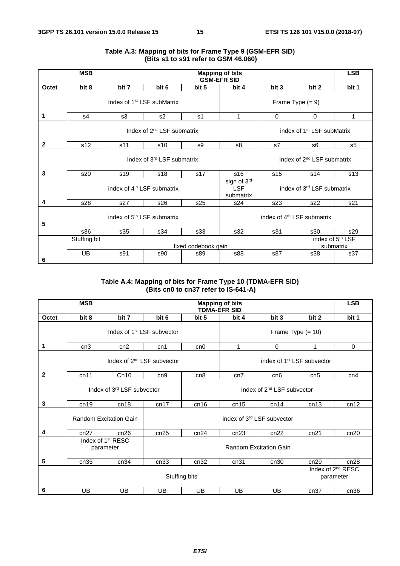|                 | <b>MSB</b>      |                                        |                                        |                     | <b>Mapping of bits</b><br><b>GSM-EFR SID</b> |                                        |       | <b>LSB</b>                                |  |
|-----------------|-----------------|----------------------------------------|----------------------------------------|---------------------|----------------------------------------------|----------------------------------------|-------|-------------------------------------------|--|
| Octet           | bit 8           | bit 7                                  | bit 6                                  | bit 5               | bit 4                                        | bit 3                                  | bit 2 | bit 1                                     |  |
|                 |                 | Index of 1 <sup>st</sup> LSF subMatrix |                                        |                     | Frame Type $(= 9)$                           |                                        |       |                                           |  |
| 1               | s4              | s3                                     | s <sub>2</sub>                         | s1                  | 1                                            | 0                                      | 0     | 1                                         |  |
|                 |                 |                                        | Index of 2 <sup>nd</sup> LSF submatrix |                     | index of 1 <sup>st</sup> LSF subMatrix       |                                        |       |                                           |  |
| $\mathbf{2}$    | s <sub>12</sub> | s11                                    | s10                                    | s9                  | s8                                           | s7                                     | s6    | s <sub>5</sub>                            |  |
|                 |                 |                                        | Index of 3 <sup>rd</sup> LSF submatrix |                     | Index of 2 <sup>nd</sup> LSF submatrix       |                                        |       |                                           |  |
| 3               | s20             | s19                                    | s18                                    | s17                 | s16                                          | s15                                    | s14   | s <sub>13</sub>                           |  |
|                 |                 | index of 4 <sup>th</sup> LSF submatrix |                                        |                     | sign of 3rd<br><b>LSF</b><br>submatrix       | index of 3 <sup>rd</sup> LSF submatrix |       |                                           |  |
| 4               | s28             | s27                                    | s26                                    | s25                 | s24                                          | s23                                    | s21   |                                           |  |
| $5\phantom{.0}$ |                 |                                        | index of 5 <sup>th</sup> LSF submatrix |                     |                                              | index of 4 <sup>th</sup> LSF submatrix |       |                                           |  |
|                 | s36             | s35                                    | s34                                    | s33                 | s32                                          | s31                                    | s30   | s29                                       |  |
|                 | Stuffing bit    |                                        |                                        | fixed codebook gain |                                              |                                        |       | index of 5 <sup>th</sup> LSF<br>submatrix |  |
| 6               | <b>UB</b>       | s91                                    | s90                                    | s89                 | <b>s88</b>                                   | s87                                    | s38   | s37                                       |  |

#### **Table A.3: Mapping of bits for Frame Type 9 (GSM-EFR SID) (Bits s1 to s91 refer to GSM 46.060)**

#### **Table A.4: Mapping of bits for Frame Type 10 (TDMA-EFR SID) (Bits cn0 to cn37 refer to IS-641-A)**

|              | <b>MSB</b> |                                            |                                        |                            | <b>Mapping of bits</b><br><b>TDMA-EFR SID</b> |                                     |       | <b>LSB</b>  |  |
|--------------|------------|--------------------------------------------|----------------------------------------|----------------------------|-----------------------------------------------|-------------------------------------|-------|-------------|--|
| Octet        | bit 8      | bit 7                                      | bit 6                                  | bit 5                      | bit 4                                         | bit 3                               | bit 2 | bit 1       |  |
|              |            |                                            | Index of 1 <sup>st</sup> LSF subvector |                            | Frame Type $(= 10)$                           |                                     |       |             |  |
| 1            | cn3        | cn2                                        | cn1                                    | cn0                        | 1                                             | $\mathbf 0$                         | 1     | $\mathbf 0$ |  |
|              |            |                                            | Index of 2 <sup>nd</sup> LSF subvector |                            | index of 1 <sup>st</sup> LSF subvector        |                                     |       |             |  |
| $\mathbf{2}$ | cn11       | Cn10                                       | cn <sub>9</sub>                        | cn8                        | cn7                                           | cn6                                 | cn5   | cn4         |  |
|              |            | Index of 3rd LSF subvector                 |                                        |                            |                                               |                                     |       |             |  |
| 3            | cn19       | cn18                                       | cn17                                   | cn16                       | cn15                                          | cn14                                | cn13  | cn12        |  |
|              |            | <b>Random Excitation Gain</b>              |                                        | index of 3rd LSF subvector |                                               |                                     |       |             |  |
| 4            | cn27       | cn26                                       | cn25                                   | cn24                       | cn23                                          | cn22                                | cn21  | cn20        |  |
|              |            | Index of 1 <sup>st</sup> RESC<br>parameter |                                        |                            |                                               |                                     |       |             |  |
| 5            | cn35       | cn34                                       | cn33                                   | cn32                       | cn31                                          | cn30                                | cn29  | cn28        |  |
|              |            |                                            |                                        | Stuffing bits              |                                               | Index of $2^{nd}$ RESC<br>parameter |       |             |  |
| 6            | UB         | UB                                         | UB                                     | UB                         | UB                                            | UB                                  | cn37  | cn36        |  |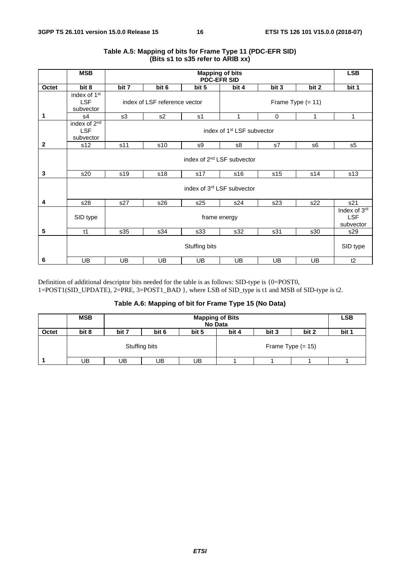|              | <b>MSB</b>                                          |                                        |                                                      | <b>Mapping of bits</b><br><b>PDC-EFR SID</b> |       |       |       | <b>LSB</b> |  |  |
|--------------|-----------------------------------------------------|----------------------------------------|------------------------------------------------------|----------------------------------------------|-------|-------|-------|------------|--|--|
| Octet        | bit 8                                               | bit 7                                  | bit 6                                                | bit 5                                        | bit 4 | bit 3 | bit 2 | bit 1      |  |  |
|              | index of 1 <sup>st</sup><br><b>LSF</b><br>subvector |                                        | index of LSF reference vector<br>Frame Type $(= 11)$ |                                              |       |       |       |            |  |  |
| 1            | s4                                                  | s3                                     | s <sub>2</sub>                                       | s <sub>1</sub>                               | 1     | 0     | 1     | 1          |  |  |
|              | index of 2 <sup>nd</sup><br><b>LSF</b><br>subvector |                                        | index of 1 <sup>st</sup> LSF subvector               |                                              |       |       |       |            |  |  |
| $\mathbf{2}$ | s12                                                 | s11                                    | s10                                                  | s9                                           | s8    | s7    | s6    | s5         |  |  |
|              |                                                     | index of 2 <sup>nd</sup> LSF subvector |                                                      |                                              |       |       |       |            |  |  |
| 3            | s20                                                 | s19                                    | s18                                                  | s17                                          | s16   | s15   | s14   | s13        |  |  |
|              |                                                     |                                        |                                                      | index of 3rd LSF subvector                   |       |       |       |            |  |  |
| 4            | s28                                                 | s27                                    | s26                                                  | s25                                          | s24   | s23   | s22   | s21        |  |  |
|              | SID type                                            |                                        | frame energy                                         |                                              |       |       |       |            |  |  |
| 5            | t1                                                  | s35                                    | s34                                                  | s33                                          | s32   | s31   | s30   | s29        |  |  |
|              |                                                     |                                        |                                                      | Stuffing bits                                |       |       |       | SID type   |  |  |
| 6            | <b>UB</b>                                           | UB.                                    | UB.                                                  | UB.                                          | UB    | UB.   | UB    | t2         |  |  |

#### **Table A.5: Mapping of bits for Frame Type 11 (PDC-EFR SID) (Bits s1 to s35 refer to ARIB xx)**

Definition of additional descriptor bits needed for the table is as follows: SID-type is {0=POST0, 1=POST1(SID\_UPDATE), 2=PRE, 3=POST1\_BAD }, where LSB of SID\_type is t1 and MSB of SID-type is t2.

#### **Table A.6: Mapping of bit for Frame Type 15 (No Data)**

|       | <b>MSB</b> | <b>Mapping of Bits</b><br><b>No Data</b> |                                           |    |  |  |                     |  |  |  |  |
|-------|------------|------------------------------------------|-------------------------------------------|----|--|--|---------------------|--|--|--|--|
| Octet | bit 8      | bit 7                                    | bit 2<br>bit 3<br>bit 6<br>bit 4<br>bit 5 |    |  |  |                     |  |  |  |  |
|       |            |                                          | Stuffing bits                             |    |  |  | Frame Type $(= 15)$ |  |  |  |  |
|       | UB         | UB                                       | UΒ                                        | UB |  |  |                     |  |  |  |  |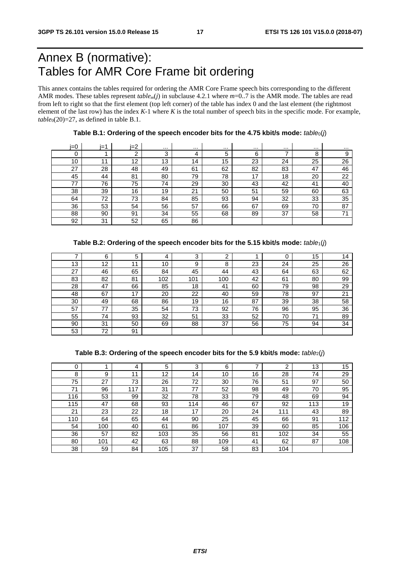# Annex B (normative): Tables for AMR Core Frame bit ordering

This annex contains the tables required for ordering the AMR Core Frame speech bits corresponding to the different AMR modes. These tables represent *tablem*(*j*) in subclause 4.2.1 where *m*=0..7 is the AMR mode. The tables are read from left to right so that the first element (top left corner) of the table has index 0 and the last element (the rightmost element of the last row) has the index  $K-1$  where  $K$  is the total number of speech bits in the specific mode. For example,  $table_0(20)=27$ , as defined in table B.1.

| i=0 | i=1 | $i=2$ | $\cdots$ | $\cdots$ | $\cdots$ | $\cdots$ | $\cdots$ | $\cdots$ | $\cdots$ |
|-----|-----|-------|----------|----------|----------|----------|----------|----------|----------|
| 0   |     | ີ     | 3        | 4        | 5        | 6        |          | 8        | 9        |
| 10  | 11  | 12    | 13       | 14       | 15       | 23       | 24       | 25       | 26       |
| 27  | 28  | 48    | 49       | 61       | 62       | 82       | 83       | 47       | 46       |
| 45  | 44  | 81    | 80       | 79       | 78       | 17       | 18       | 20       | 22       |
| 77  | 76  | 75    | 74       | 29       | 30       | 43       | 42       | 41       | 40       |
| 38  | 39  | 16    | 19       | 21       | 50       | 51       | 59       | 60       | 63       |
| 64  | 72  | 73    | 84       | 85       | 93       | 94       | 32       | 33       | 35       |
| 36  | 53  | 54    | 56       | 57       | 66       | 67       | 69       | 70       | 87       |
| 88  | 90  | 91    | 34       | 55       | 68       | 89       | 37       | 58       | 71       |
| 92  | 31  | 52    | 65       | 86       |          |          |          |          |          |

Table B.1: Ordering of the speech encoder bits for the 4.75 kbit/s mode:  $table_0(j)$ 

|  | Table B.2: Ordering of the speech encoder bits for the 5.15 kbit/s mode: $table_1(j)$ |  |
|--|---------------------------------------------------------------------------------------|--|
|--|---------------------------------------------------------------------------------------|--|

|    | 6  | 5  |     | 3   | ົ   |    | $\sqrt{2}$ | 15 | 14 |
|----|----|----|-----|-----|-----|----|------------|----|----|
| 13 | 12 | 11 | 10  | 9   | 8   | 23 | 24         | 25 | 26 |
| 27 | 46 | 65 | 84  | 45  | 44  | 43 | 64         | 63 | 62 |
| 83 | 82 | 81 | 102 | 101 | 100 | 42 | 61         | 80 | 99 |
| 28 | 47 | 66 | 85  | 18  | 41  | 60 | 79         | 98 | 29 |
| 48 | 67 | 17 | 20  | 22  | 40  | 59 | 78         | 97 | 21 |
| 30 | 49 | 68 | 86  | 19  | 16  | 87 | 39         | 38 | 58 |
| 57 | 77 | 35 | 54  | 73  | 92  | 76 | 96         | 95 | 36 |
| 55 | 74 | 93 | 32  | 51  | 33  | 52 | 70         | 71 | 89 |
| 90 | 31 | 50 | 69  | 88  | 37  | 56 | 75         | 94 | 34 |
| 53 | 72 | 91 |     |     |     |    |            |    |    |

**Table B.3: Ordering of the speech encoder bits for the 5.9 kbit/s mode:** *table*2(*j*)

| C   |     | 4   | 5   | 3   | 6   |    | ົ   | 13  | 15  |
|-----|-----|-----|-----|-----|-----|----|-----|-----|-----|
| 8   | 9   | 44  | 12  | 14  | 10  | 16 | 28  | 74  | 29  |
| 75  | 27  | 73  | 26  | 72  | 30  | 76 | 51  | 97  | 50  |
| 71  | 96  | 117 | 31  | 77  | 52  | 98 | 49  | 70  | 95  |
| 116 | 53  | 99  | 32  | 78  | 33  | 79 | 48  | 69  | 94  |
| 115 | 47  | 68  | 93  | 114 | 46  | 67 | 92  | 113 | 19  |
| 21  | 23  | 22  | 18  | 17  | 20  | 24 | 111 | 43  | 89  |
| 110 | 64  | 65  | 44  | 90  | 25  | 45 | 66  | 91  | 112 |
| 54  | 100 | 40  | 61  | 86  | 107 | 39 | 60  | 85  | 106 |
| 36  | 57  | 82  | 103 | 35  | 56  | 81 | 102 | 34  | 55  |
| 80  | 101 | 42  | 63  | 88  | 109 | 41 | 62  | 87  | 108 |
| 38  | 59  | 84  | 105 | 37  | 58  | 83 | 104 |     |     |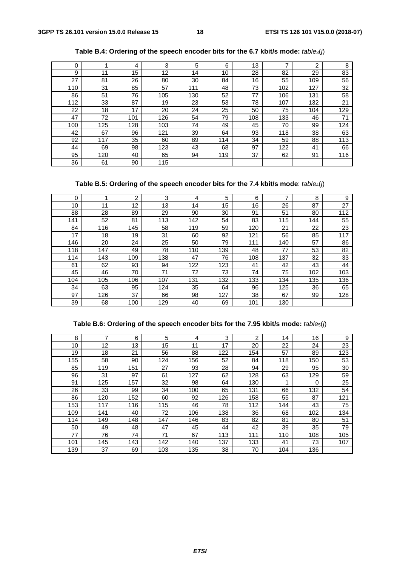| 0   |     | 4   | 3   | 5   | 6   | 13  | ⇁   | っ   | 8   |
|-----|-----|-----|-----|-----|-----|-----|-----|-----|-----|
| 9   | 11  | 15  | 12  | 14  | 10  | 28  | 82  | 29  | 83  |
| 27  | 81  | 26  | 80  | 30  | 84  | 16  | 55  | 109 | 56  |
| 110 | 31  | 85  | 57  | 111 | 48  | 73  | 102 | 127 | 32  |
| 86  | 51  | 76  | 105 | 130 | 52  | 77  | 106 | 131 | 58  |
| 112 | 33  | 87  | 19  | 23  | 53  | 78  | 107 | 132 | 21  |
| 22  | 18  | 17  | 20  | 24  | 25  | 50  | 75  | 104 | 129 |
| 47  | 72  | 101 | 126 | 54  | 79  | 108 | 133 | 46  | 71  |
| 100 | 125 | 128 | 103 | 74  | 49  | 45  | 70  | 99  | 124 |
| 42  | 67  | 96  | 121 | 39  | 64  | 93  | 118 | 38  | 63  |
| 92  | 117 | 35  | 60  | 89  | 114 | 34  | 59  | 88  | 113 |
| 44  | 69  | 98  | 123 | 43  | 68  | 97  | 122 | 41  | 66  |
| 95  | 120 | 40  | 65  | 94  | 119 | 37  | 62  | 91  | 116 |
| 36  | 61  | 90  | 115 |     |     |     |     |     |     |

**Table B.4: Ordering of the speech encoder bits for the 6.7 kbit/s mode:** *table*3(*j*)

**Table B.5: Ordering of the speech encoder bits for the 7.4 kbit/s mode**: *table*4(*j*)

| 0   |     | $\overline{2}$ | 3   | 4   | 5   | 6   | 7   | 8   | 9   |
|-----|-----|----------------|-----|-----|-----|-----|-----|-----|-----|
| 10  | 11  | 12             | 13  | 14  | 15  | 16  | 26  | 87  | 27  |
| 88  | 28  | 89             | 29  | 90  | 30  | 91  | 51  | 80  | 112 |
| 141 | 52  | 81             | 113 | 142 | 54  | 83  | 115 | 144 | 55  |
| 84  | 116 | 145            | 58  | 119 | 59  | 120 | 21  | 22  | 23  |
| 17  | 18  | 19             | 31  | 60  | 92  | 121 | 56  | 85  | 117 |
| 146 | 20  | 24             | 25  | 50  | 79  | 111 | 140 | 57  | 86  |
| 118 | 147 | 49             | 78  | 110 | 139 | 48  | 77  | 53  | 82  |
| 114 | 143 | 109            | 138 | 47  | 76  | 108 | 137 | 32  | 33  |
| 61  | 62  | 93             | 94  | 122 | 123 | 41  | 42  | 43  | 44  |
| 45  | 46  | 70             | 71  | 72  | 73  | 74  | 75  | 102 | 103 |
| 104 | 105 | 106            | 107 | 131 | 132 | 133 | 134 | 135 | 136 |
| 34  | 63  | 95             | 124 | 35  | 64  | 96  | 125 | 36  | 65  |
| 97  | 126 | 37             | 66  | 98  | 127 | 38  | 67  | 99  | 128 |
| 39  | 68  | 100            | 129 | 40  | 69  | 101 | 130 |     |     |

### **Table B.6: Ordering of the speech encoder bits for the 7.95 kbit/s mode:** *table*5(*j*)

| 8   | 7   | 6   | 5   | 4   | 3   | 2   | 14  | 16  | 9   |
|-----|-----|-----|-----|-----|-----|-----|-----|-----|-----|
| 10  | 12  | 13  | 15  | 11  | 17  | 20  | 22  | 24  | 23  |
| 19  | 18  | 21  | 56  | 88  | 122 | 154 | 57  | 89  | 123 |
| 155 | 58  | 90  | 124 | 156 | 52  | 84  | 118 | 150 | 53  |
| 85  | 119 | 151 | 27  | 93  | 28  | 94  | 29  | 95  | 30  |
| 96  | 31  | 97  | 61  | 127 | 62  | 128 | 63  | 129 | 59  |
| 91  | 125 | 157 | 32  | 98  | 64  | 130 | 1   | 0   | 25  |
| 26  | 33  | 99  | 34  | 100 | 65  | 131 | 66  | 132 | 54  |
| 86  | 120 | 152 | 60  | 92  | 126 | 158 | 55  | 87  | 121 |
| 153 | 117 | 116 | 115 | 46  | 78  | 112 | 144 | 43  | 75  |
| 109 | 141 | 40  | 72  | 106 | 138 | 36  | 68  | 102 | 134 |
| 114 | 149 | 148 | 147 | 146 | 83  | 82  | 81  | 80  | 51  |
| 50  | 49  | 48  | 47  | 45  | 44  | 42  | 39  | 35  | 79  |
| 77  | 76  | 74  | 71  | 67  | 113 | 111 | 110 | 108 | 105 |
| 101 | 145 | 143 | 142 | 140 | 137 | 133 | 41  | 73  | 107 |
| 139 | 37  | 69  | 103 | 135 | 38  | 70  | 104 | 136 |     |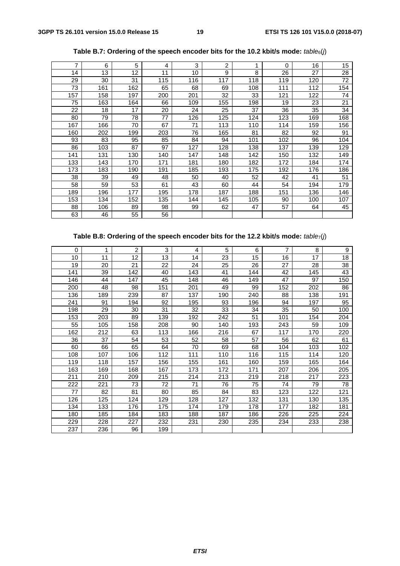| 7   | 6   | 5   | 4   | 3   | 2   | 1   | $\Omega$ | 16  | 15              |
|-----|-----|-----|-----|-----|-----|-----|----------|-----|-----------------|
| 14  | 13  | 12  | 11  | 10  | 9   | 8   | 26       | 27  | 28              |
| 29  | 30  | 31  | 115 | 116 | 117 | 118 | 119      | 120 | 72              |
| 73  | 161 | 162 | 65  | 68  | 69  | 108 | 111      | 112 | 154             |
| 157 | 158 | 197 | 200 | 201 | 32  | 33  | 121      | 122 | 74              |
| 75  | 163 | 164 | 66  | 109 | 155 | 198 | 19       | 23  | $\overline{21}$ |
| 22  | 18  | 17  | 20  | 24  | 25  | 37  | 36       | 35  | 34              |
| 80  | 79  | 78  | 77  | 126 | 125 | 124 | 123      | 169 | 168             |
| 167 | 166 | 70  | 67  | 71  | 113 | 110 | 114      | 159 | 156             |
| 160 | 202 | 199 | 203 | 76  | 165 | 81  | 82       | 92  | 91              |
| 93  | 83  | 95  | 85  | 84  | 94  | 101 | 102      | 96  | 104             |
| 86  | 103 | 87  | 97  | 127 | 128 | 138 | 137      | 139 | 129             |
| 141 | 131 | 130 | 140 | 147 | 148 | 142 | 150      | 132 | 149             |
| 133 | 143 | 170 | 171 | 181 | 180 | 182 | 172      | 184 | 174             |
| 173 | 183 | 190 | 191 | 185 | 193 | 175 | 192      | 176 | 186             |
| 38  | 39  | 49  | 48  | 50  | 40  | 52  | 42       | 41  | 51              |
| 58  | 59  | 53  | 61  | 43  | 60  | 44  | 54       | 194 | 179             |
| 189 | 196 | 177 | 195 | 178 | 187 | 188 | 151      | 136 | 146             |
| 153 | 134 | 152 | 135 | 144 | 145 | 105 | 90       | 100 | 107             |
| 88  | 106 | 89  | 98  | 99  | 62  | 47  | 57       | 64  | 45              |
| 63  | 46  | 55  | 56  |     |     |     |          |     |                 |

**Table B.7: Ordering of the speech encoder bits for the 10.2 kbit/s mode:** *table*6(*j*)

### **Table B.8: Ordering of the speech encoder bits for the 12.2 kbit/s mode:** *table*7(*j*)

| $\Omega$ | 1   | 2   | 3   | 4   | 5   | 6   | 7   | 8   | 9   |
|----------|-----|-----|-----|-----|-----|-----|-----|-----|-----|
| 10       | 11  | 12  | 13  | 14  | 23  | 15  | 16  | 17  | 18  |
| 19       | 20  | 21  | 22  | 24  | 25  | 26  | 27  | 28  | 38  |
| 141      | 39  | 142 | 40  | 143 | 41  | 144 | 42  | 145 | 43  |
| 146      | 44  | 147 | 45  | 148 | 46  | 149 | 47  | 97  | 150 |
| 200      | 48  | 98  | 151 | 201 | 49  | 99  | 152 | 202 | 86  |
| 136      | 189 | 239 | 87  | 137 | 190 | 240 | 88  | 138 | 191 |
| 241      | 91  | 194 | 92  | 195 | 93  | 196 | 94  | 197 | 95  |
| 198      | 29  | 30  | 31  | 32  | 33  | 34  | 35  | 50  | 100 |
| 153      | 203 | 89  | 139 | 192 | 242 | 51  | 101 | 154 | 204 |
| 55       | 105 | 158 | 208 | 90  | 140 | 193 | 243 | 59  | 109 |
| 162      | 212 | 63  | 113 | 166 | 216 | 67  | 117 | 170 | 220 |
| 36       | 37  | 54  | 53  | 52  | 58  | 57  | 56  | 62  | 61  |
| 60       | 66  | 65  | 64  | 70  | 69  | 68  | 104 | 103 | 102 |
| 108      | 107 | 106 | 112 | 111 | 110 | 116 | 115 | 114 | 120 |
| 119      | 118 | 157 | 156 | 155 | 161 | 160 | 159 | 165 | 164 |
| 163      | 169 | 168 | 167 | 173 | 172 | 171 | 207 | 206 | 205 |
| 211      | 210 | 209 | 215 | 214 | 213 | 219 | 218 | 217 | 223 |
| 222      | 221 | 73  | 72  | 71  | 76  | 75  | 74  | 79  | 78  |
| 77       | 82  | 81  | 80  | 85  | 84  | 83  | 123 | 122 | 121 |
| 126      | 125 | 124 | 129 | 128 | 127 | 132 | 131 | 130 | 135 |
| 134      | 133 | 176 | 175 | 174 | 179 | 178 | 177 | 182 | 181 |
| 180      | 185 | 184 | 183 | 188 | 187 | 186 | 226 | 225 | 224 |
| 229      | 228 | 227 | 232 | 231 | 230 | 235 | 234 | 233 | 238 |
| 237      | 236 | 96  | 199 |     |     |     |     |     |     |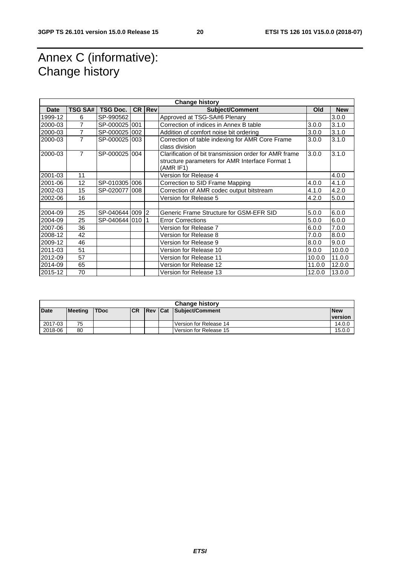# Annex C (informative): Change history

| <b>Change history</b> |                |                 |     |                   |                                                                                                                       |        |            |  |
|-----------------------|----------------|-----------------|-----|-------------------|-----------------------------------------------------------------------------------------------------------------------|--------|------------|--|
| <b>Date</b>           | <b>TSG SA#</b> | TSG Doc.        |     | <b>CR   Rev  </b> | <b>Subject/Comment</b>                                                                                                | Old    | <b>New</b> |  |
| 1999-12               | 6              | SP-990562       |     |                   | Approved at TSG-SA#6 Plenary                                                                                          |        | 3.0.0      |  |
| 2000-03               | 7              | SP-000025 001   |     |                   | Correction of indices in Annex B table                                                                                | 3.0.0  | 3.1.0      |  |
| 2000-03               | 7              | SP-000025 002   |     |                   | Addition of comfort noise bit ordering                                                                                | 3.0.0  | 3.1.0      |  |
| 2000-03               | 7              | SP-0000251003   |     |                   | Correction of table indexing for AMR Core Frame<br>class division                                                     | 3.0.0  | 3.1.0      |  |
| 2000-03               | $\overline{7}$ | SP-000025 004   |     |                   | Clarification of bit transmission order for AMR frame<br>structure parameters for AMR Interface Format 1<br>(AMR IF1) | 3.0.0  | 3.1.0      |  |
| 2001-03               | 11             |                 |     |                   | Version for Release 4                                                                                                 |        | 4.0.0      |  |
| 2001-06               | 12             | SP-0103051006   |     |                   | Correction to SID Frame Mapping                                                                                       | 4.0.0  | 4.1.0      |  |
| 2002-03               | 15             | SP-020077       | 008 |                   | Correction of AMR codec output bitstream                                                                              | 4.1.0  | 4.2.0      |  |
| 2002-06               | 16             |                 |     |                   | Version for Release 5                                                                                                 | 4.2.0  | 5.0.0      |  |
|                       |                |                 |     |                   |                                                                                                                       |        |            |  |
| 2004-09               | 25             | SP-040644 009 2 |     |                   | Generic Frame Structure for GSM-EFR SID                                                                               | 5.0.0  | 6.0.0      |  |
| 2004-09               | 25             | SP-040644 010   |     |                   | <b>Error Corrections</b>                                                                                              | 5.0.0  | 6.0.0      |  |
| 2007-06               | 36             |                 |     |                   | Version for Release 7                                                                                                 | 6.0.0  | 7.0.0      |  |
| 2008-12               | 42             |                 |     |                   | Version for Release 8                                                                                                 | 7.0.0  | 8.0.0      |  |
| 2009-12               | 46             |                 |     |                   | Version for Release 9                                                                                                 | 8.0.0  | 9.0.0      |  |
| 2011-03               | 51             |                 |     |                   | Version for Release 10                                                                                                | 9.0.0  | 10.0.0     |  |
| 2012-09               | 57             |                 |     |                   | Version for Release 11                                                                                                | 10.0.0 | 11.0.0     |  |
| 2014-09               | 65             |                 |     |                   | Version for Release 12                                                                                                | 11.0.0 | 12.0.0     |  |
| 2015-12               | 70             |                 |     |                   | Version for Release 13                                                                                                | 12.0.0 | 13.0.0     |  |

|             | <b>Change history</b> |             |            |  |  |                         |                |  |  |  |
|-------------|-----------------------|-------------|------------|--|--|-------------------------|----------------|--|--|--|
| <b>Date</b> | <b>Meeting</b>        | <b>TDoc</b> | <b>ICR</b> |  |  | Rev Cat Subject/Comment | <b>New</b>     |  |  |  |
|             |                       |             |            |  |  |                         | <b>version</b> |  |  |  |
| 2017-03     | 75                    |             |            |  |  | Version for Release 14  | 14.0.0         |  |  |  |
| 2018-06     | 80                    |             |            |  |  | Version for Release 15  | 15.0.0         |  |  |  |